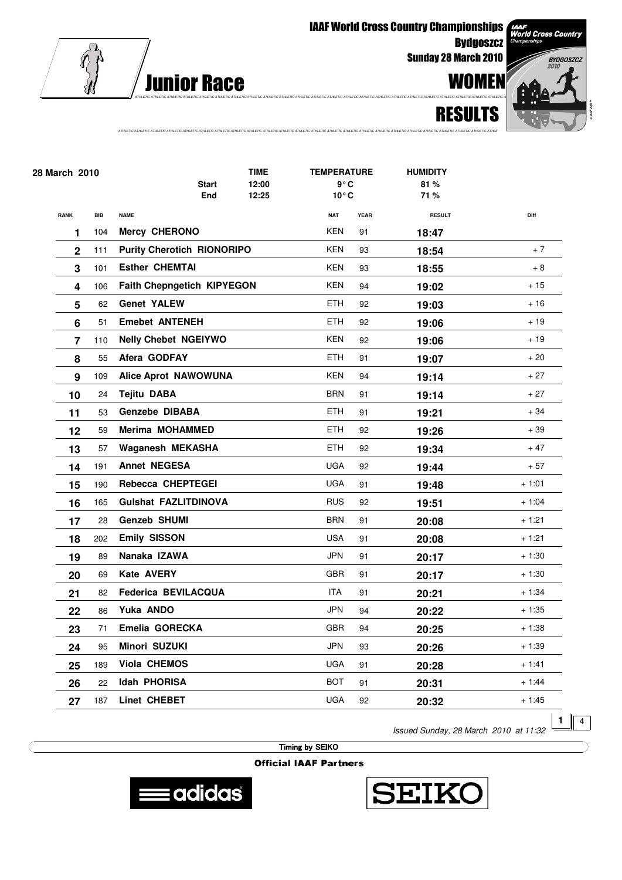

**IAAF World Cross Country Championships Bydgoszcz** 

**Sunday 28 March 2010** 



AAF<br>Vorld Cross Country

**RESULTS** 

| 28 March 2010           |     |                                   | <b>TIME</b>         |                | <b>TEMPERATURE</b>              |             | <b>HUMIDITY</b> |         |
|-------------------------|-----|-----------------------------------|---------------------|----------------|---------------------------------|-------------|-----------------|---------|
|                         |     |                                   | <b>Start</b><br>End | 12:00<br>12:25 | $9^{\circ}$ C<br>$10^{\circ}$ C |             | 81%<br>71%      |         |
|                         |     |                                   |                     |                |                                 |             |                 |         |
| <b>RANK</b>             | BIB | <b>NAME</b>                       |                     |                | <b>NAT</b><br><b>KEN</b>        | <b>YEAR</b> | <b>RESULT</b>   | Diff    |
| 1                       | 104 | <b>Mercy CHERONO</b>              |                     |                |                                 | 91          | 18:47           |         |
| $\mathbf 2$             | 111 | <b>Purity Cherotich RIONORIPO</b> |                     |                | KEN                             | 93          | 18:54           | $+7$    |
| 3                       | 101 | <b>Esther CHEMTAI</b>             |                     |                | <b>KEN</b>                      | 93          | 18:55           | + 8     |
| 4                       | 106 | Faith Chepngetich KIPYEGON        |                     |                | <b>KEN</b>                      | 94          | 19:02           | $+15$   |
| 5                       | 62  | <b>Genet YALEW</b>                |                     |                | <b>ETH</b>                      | 92          | 19:03           | $+16$   |
| 6                       | 51  | <b>Emebet ANTENEH</b>             |                     |                | <b>ETH</b>                      | 92          | 19:06           | $+19$   |
| $\overline{\mathbf{z}}$ | 110 | <b>Nelly Chebet NGEIYWO</b>       |                     |                | <b>KEN</b>                      | 92          | 19:06           | $+19$   |
| 8                       | 55  | Afera GODFAY                      |                     |                | <b>ETH</b>                      | 91          | 19:07           | $+20$   |
| 9                       | 109 | <b>Alice Aprot NAWOWUNA</b>       |                     |                | <b>KEN</b>                      | 94          | 19:14           | $+27$   |
| 10                      | 24  | <b>Tejitu DABA</b>                |                     |                | <b>BRN</b>                      | 91          | 19:14           | $+27$   |
| 11                      | 53  | Genzebe DIBABA                    |                     |                | <b>ETH</b>                      | 91          | 19:21           | $+34$   |
| 12                      | 59  | <b>Merima MOHAMMED</b>            |                     |                | <b>ETH</b>                      | 92          | 19:26           | + 39    |
| 13                      | 57  | Waganesh MEKASHA                  |                     |                | ETH                             | 92          | 19:34           | $+47$   |
| 14                      | 191 | <b>Annet NEGESA</b>               |                     |                | <b>UGA</b>                      | 92          | 19:44           | $+57$   |
| 15                      | 190 | Rebecca CHEPTEGEI                 |                     |                | <b>UGA</b>                      | 91          | 19:48           | $+1:01$ |
| 16                      | 165 | <b>Gulshat FAZLITDINOVA</b>       |                     |                | <b>RUS</b>                      | 92          | 19:51           | $+1:04$ |
| 17                      | 28  | <b>Genzeb SHUMI</b>               |                     |                | <b>BRN</b>                      | 91          | 20:08           | $+1:21$ |
| 18                      | 202 | <b>Emily SISSON</b>               |                     |                | <b>USA</b>                      | 91          | 20:08           | $+1:21$ |
| 19                      | 89  | Nanaka IZAWA                      |                     |                | <b>JPN</b>                      | 91          | 20:17           | $+1:30$ |
| 20                      | 69  | Kate AVERY                        |                     |                | <b>GBR</b>                      | 91          | 20:17           | + 1:30  |
| 21                      | 82  | Federica BEVILACQUA               |                     |                | <b>ITA</b>                      | 91          | 20:21           | $+1:34$ |
| 22                      | 86  | Yuka ANDO                         |                     |                | <b>JPN</b>                      | 94          | 20:22           | $+1:35$ |
| 23                      | 71  | Emelia GORECKA                    |                     |                | <b>GBR</b>                      | 94          | 20:25           | $+1:38$ |
| 24                      | 95  | Minori SUZUKI                     |                     |                | <b>JPN</b>                      | 93          | 20:26           | $+1:39$ |
| 25                      | 189 | Viola CHEMOS                      |                     |                | <b>UGA</b>                      | 91          | 20:28           | $+1:41$ |
| 26                      | 22  | <b>Idah PHORISA</b>               |                     |                | <b>BOT</b>                      | 91          | 20:31           | $+1:44$ |
|                         | 187 | Linet CHEBET                      |                     |                | <b>UGA</b>                      | 92          |                 | $+1:45$ |
| 27                      |     |                                   |                     |                |                                 |             | 20:32           |         |

ATHI FIC ATHI FIC ATHI FIC ATHI FIC ATHI FIC ATHI FIC ATHI FIC ATHI FIC ATHI FIC ATHI FIC ATHI FIC ATHI FIC ATHI FIC ATHI FIC ATHI FIC ATHI FIC ATHI FIC ATHI FIC ATHI FIC ATHI FIC ATHI FIC ATHI FIC ATHI FIC ATHI FIC ATHI F

Issued Sunday, 28 March 2010 at 11:32

 $\overline{4}$ 

**Timing by SEIKO** 



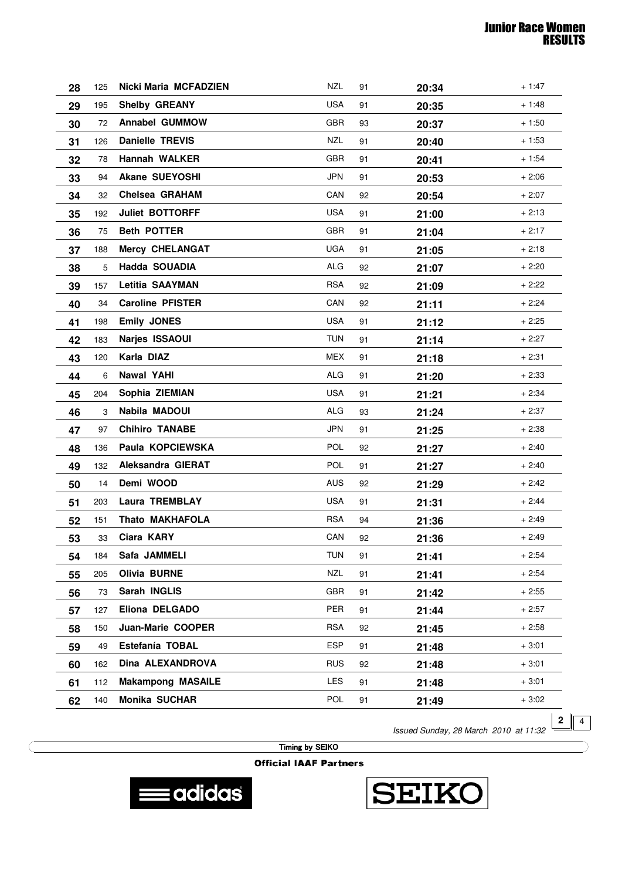| 28 | 125 | <b>Nicki Maria MCFADZIEN</b> | <b>NZL</b> | 91 | 20:34 | $+1:47$ |
|----|-----|------------------------------|------------|----|-------|---------|
| 29 | 195 | <b>Shelby GREANY</b>         | <b>USA</b> | 91 | 20:35 | $+1:48$ |
| 30 | 72  | <b>Annabel GUMMOW</b>        | GBR        | 93 | 20:37 | $+1:50$ |
| 31 | 126 | <b>Danielle TREVIS</b>       | <b>NZL</b> | 91 | 20:40 | $+1:53$ |
| 32 | 78  | <b>Hannah WALKER</b>         | <b>GBR</b> | 91 | 20:41 | $+1:54$ |
| 33 | 94  | <b>Akane SUEYOSHI</b>        | <b>JPN</b> | 91 | 20:53 | $+2:06$ |
| 34 | 32  | <b>Chelsea GRAHAM</b>        | CAN        | 92 | 20:54 | $+2:07$ |
| 35 | 192 | <b>Juliet BOTTORFF</b>       | <b>USA</b> | 91 | 21:00 | $+2:13$ |
| 36 | 75  | <b>Beth POTTER</b>           | GBR        | 91 | 21:04 | $+2:17$ |
| 37 | 188 | <b>Mercy CHELANGAT</b>       | <b>UGA</b> | 91 | 21:05 | $+2:18$ |
| 38 | 5   | Hadda SOUADIA                | <b>ALG</b> | 92 | 21:07 | $+2:20$ |
| 39 | 157 | <b>Letitia SAAYMAN</b>       | <b>RSA</b> | 92 | 21:09 | $+2:22$ |
| 40 | 34  | <b>Caroline PFISTER</b>      | CAN        | 92 | 21:11 | $+2:24$ |
| 41 | 198 | <b>Emily JONES</b>           | USA        | 91 | 21:12 | $+2:25$ |
| 42 | 183 | Narjes ISSAOUI               | <b>TUN</b> | 91 | 21:14 | $+2:27$ |
| 43 | 120 | Karla DIAZ                   | MEX        | 91 | 21:18 | $+2:31$ |
| 44 | 6   | <b>Nawal YAHI</b>            | <b>ALG</b> | 91 | 21:20 | $+2:33$ |
| 45 | 204 | Sophia ZIEMIAN               | <b>USA</b> | 91 | 21:21 | $+2:34$ |
| 46 | 3   | Nabila MADOUI                | ALG        | 93 | 21:24 | $+2:37$ |
| 47 | 97  | <b>Chihiro TANABE</b>        | <b>JPN</b> | 91 | 21:25 | $+2:38$ |
| 48 | 136 | Paula KOPCIEWSKA             | POL        | 92 | 21:27 | $+2:40$ |
| 49 | 132 | Aleksandra GIERAT            | POL        | 91 | 21:27 | $+2:40$ |
| 50 | 14  | Demi WOOD                    | <b>AUS</b> | 92 | 21:29 | $+2:42$ |
| 51 | 203 | <b>Laura TREMBLAY</b>        | <b>USA</b> | 91 | 21:31 | $+2:44$ |
| 52 | 151 | <b>Thato MAKHAFOLA</b>       | <b>RSA</b> | 94 | 21:36 | $+2:49$ |
| 53 | 33  | Ciara KARY                   | CAN        | 92 | 21:36 | $+2:49$ |
| 54 | 184 | Safa JAMMELI                 | <b>TUN</b> | 91 | 21:41 | + 2:54  |
| 55 | 205 | <b>Olivia BURNE</b>          | <b>NZL</b> | 91 | 21:41 | $+2:54$ |
| 56 | 73  | Sarah INGLIS                 | GBR        | 91 | 21:42 | $+2:55$ |
| 57 | 127 | Eliona DELGADO               | <b>PER</b> | 91 | 21:44 | $+2:57$ |
| 58 | 150 | Juan-Marie COOPER            | <b>RSA</b> | 92 | 21:45 | $+2:58$ |
| 59 | 49  | Estefanía TOBAL              | <b>ESP</b> | 91 | 21:48 | $+3:01$ |
| 60 | 162 | Dina ALEXANDROVA             | <b>RUS</b> | 92 | 21:48 | $+3:01$ |
| 61 | 112 | <b>Makampong MASAILE</b>     | LES        | 91 | 21:48 | $+3:01$ |
| 62 | 140 | Monika SUCHAR                | POL        | 91 | 21:49 | $+3:02$ |

Issued Sunday, 28 March 2010 at 11:32

**2**  $\sqrt{4}$ 

Timing by SEIKO



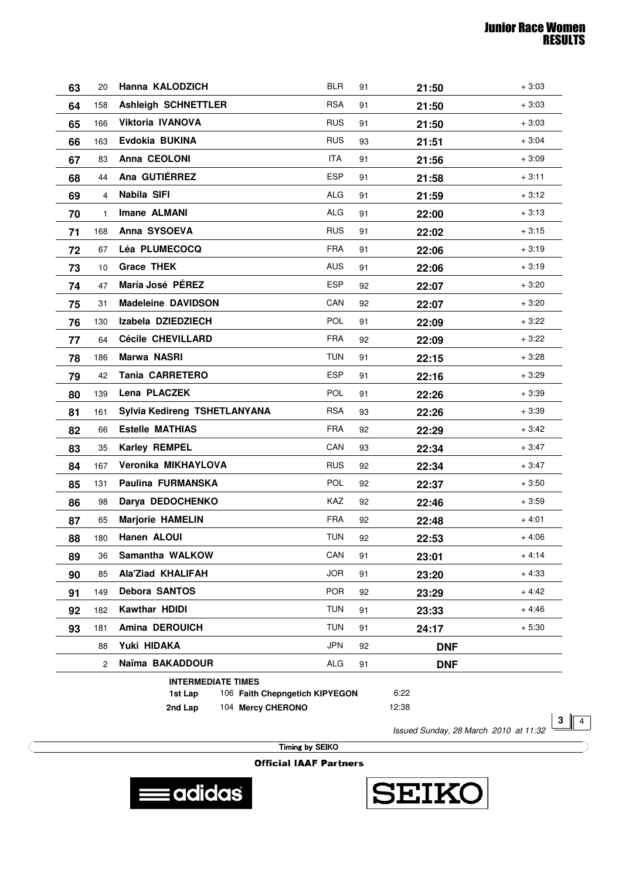| 63                                                                             | 20             | Hanna KALODZICH              | <b>BLR</b> | 91 | 21:50      | $+3:03$ |
|--------------------------------------------------------------------------------|----------------|------------------------------|------------|----|------------|---------|
| 64                                                                             | 158            | <b>Ashleigh SCHNETTLER</b>   | <b>RSA</b> | 91 | 21:50      | $+3:03$ |
| 65                                                                             | 166            | Viktoria IVANOVA             | <b>RUS</b> | 91 | 21:50      | $+3:03$ |
| 66                                                                             | 163            | Evdokia BUKINA               | <b>RUS</b> | 93 | 21:51      | $+3:04$ |
| 67                                                                             | 83             | Anna CEOLONI                 | ITA.       | 91 | 21:56      | $+3:09$ |
| 68                                                                             | 44             | Ana GUTIÉRREZ                | <b>ESP</b> | 91 | 21:58      | $+3:11$ |
| 69                                                                             | 4              | Nabila SIFI                  | ALG        | 91 | 21:59      | $+3:12$ |
| 70                                                                             | 1              | <b>Imane ALMANI</b>          | <b>ALG</b> | 91 | 22:00      | $+3:13$ |
| 71                                                                             | 168            | Anna SYSOEVA                 | <b>RUS</b> | 91 | 22:02      | $+3:15$ |
| 72                                                                             | 67             | Léa PLUMECOCQ                | <b>FRA</b> | 91 | 22:06      | $+3:19$ |
| 73                                                                             | 10             | <b>Grace THEK</b>            | <b>AUS</b> | 91 | 22:06      | $+3:19$ |
| 74                                                                             | 47             | María José PÉREZ             | <b>ESP</b> | 92 | 22:07      | $+3:20$ |
| 75                                                                             | 31             | <b>Madeleine DAVIDSON</b>    | CAN        | 92 | 22:07      | $+3:20$ |
| 76                                                                             | 130            | Izabela DZIEDZIECH           | <b>POL</b> | 91 | 22:09      | $+3:22$ |
| 77                                                                             | 64             | <b>Cécile CHEVILLARD</b>     | <b>FRA</b> | 92 | 22:09      | $+3:22$ |
| 78                                                                             | 186            | Marwa NASRI                  | <b>TUN</b> | 91 | 22:15      | $+3:28$ |
| 79                                                                             | 42             | <b>Tania CARRETERO</b>       | ESP        | 91 | 22:16      | $+3:29$ |
| 80                                                                             | 139            | Lena PLACZEK                 | <b>POL</b> | 91 | 22:26      | $+3:39$ |
| 81                                                                             | 161            | Sylvia Kedireng TSHETLANYANA | <b>RSA</b> | 93 | 22:26      | $+3:39$ |
| 82                                                                             | 66             | <b>Estelle MATHIAS</b>       | <b>FRA</b> | 92 | 22:29      | $+3:42$ |
| 83                                                                             | 35             | Karley REMPEL                | CAN        | 93 | 22:34      | $+3:47$ |
| 84                                                                             | 167            | Veronika MIKHAYLOVA          | <b>RUS</b> | 92 | 22:34      | $+3:47$ |
| 85                                                                             | 131            | Paulina FURMANSKA            | <b>POL</b> | 92 | 22:37      | $+3:50$ |
| 86                                                                             | 98             | Darya DEDOCHENKO             | KAZ        | 92 | 22:46      | $+3:59$ |
| 87                                                                             | 65             | <b>Marjorie HAMELIN</b>      | <b>FRA</b> | 92 | 22:48      | $+4:01$ |
| 88                                                                             | 180            | Hanen ALOUI                  | <b>TUN</b> | 92 | 22:53      | $+4:06$ |
| 89                                                                             | 36             | Samantha WALKOW              | CAN        | 91 | 23:01      | $+4:14$ |
| 90                                                                             | 85             | Ala'Ziad KHALIFAH            | <b>JOR</b> | 91 | 23:20      | $+4:33$ |
| 91                                                                             | 149            | <b>Debora SANTOS</b>         | <b>POR</b> | 92 | 23:29      | $+4:42$ |
| 92                                                                             | 182            | <b>Kawthar HDIDI</b>         | <b>TUN</b> | 91 | 23:33      | $+4:46$ |
| 93                                                                             | 181            | Amina DEROUICH               | <b>TUN</b> | 91 | 24:17      | $+5:30$ |
|                                                                                | 88             | Yuki HIDAKA                  | <b>JPN</b> | 92 | <b>DNF</b> |         |
|                                                                                | $\overline{2}$ | Naïma BAKADDOUR              | ALG        | 91 | <b>DNF</b> |         |
| <b>INTERMEDIATE TIMES</b><br>6:22<br>106 Faith Chepngetich KIPYEGON<br>1st Lap |                |                              |            |    |            |         |

**1st Lap 2nd Lap**

104 Mercy CHERONO

6:22 12:38

Issued Sunday, 28 March 2010 at 11:32

**3**  $\sqrt{4}$ 

Timing by SEIKO